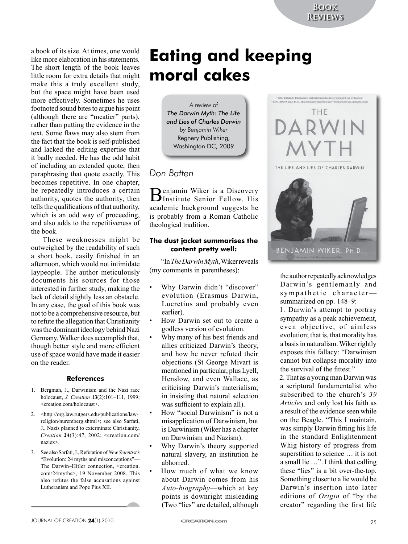a book of its size. At times, one would like more elaboration in his statements. The short length of the book leaves little room for extra details that might make this a truly excellent study, but the space might have been used more effectively. Sometimes he uses footnoted sound bites to argue his point (although there are "meatier" parts), rather than putting the evidence in the text. Some flaws may also stem from the fact that the book is self-published and lacked the editing expertise that it badly needed. He has the odd habit of including an extended quote, then paraphrasing that quote exactly. This becomes repetitive. In one chapter, he repeatedly introduces a certain authority, quotes the authority, then tells the qualifications of that authority, which is an odd way of proceeding, and also adds to the repetitiveness of the book.

These weaknesses might be outweighed by the readability of such a short book, easily finished in an afternoon, which would not intimidate laypeople. The author meticulously documents his sources for those interested in further study, making the lack of detail slightly less an obstacle. In any case, the goal of this book was not to be a comprehensive resource, but to refute the allegation that Christianity was the dominant ideology behind Nazi Germany. Walker does accomplish that, though better style and more efficient use of space would have made it easier on the reader.

#### **References**

- 1. Bergman, J., Darwinism and the Nazi race holocaust, *J. Creation* **13**(2):101–111, 1999; <creation.com/holocaust>.
- 2. <http://org.law.rutgers.edu/publications/lawreligion/nuremberg.shtml>; see also Sarfati, J., Nazis planned to exterminate Christianity, *Creation* **24**(3):47, 2002; <creation.com/ naziex>.
- 3. See also Sarfati, J., Refutation of *New Scientist's* "Evolution: 24 myths and misconceptions"— The Darwin–Hitler connection, <creation. com/24myths>, 19 November 2008. This also refutes the false accusations against Lutheranism and Pope Pius XII.

# **Eating and keeping moral cakes**

A review of *The Darwin Myth: The Life and Lies of Charles Darwin by Benjamin Wiker* Regnery Publishing, Washington DC, 2009

# *Don Batten*

Benjamin Wiker is a Discovery Institute Senior Fellow. His academic background suggests he is probably from a Roman Catholic theological tradition.

## **The dust jacket summarises the content pretty well:**

"In *The Darwin Myth*, Wiker reveals (my comments in parentheses):

- Why Darwin didn't "discover" evolution (Erasmus Darwin, Lucretius and probably even earlier).
- How Darwin set out to create a godless version of evolution.
- Why many of his best friends and allies criticized Darwin's theory, and how he never refuted their objections (St George Mivart is mentioned in particular, plus Lyell, Henslow, and even Wallace, as criticising Darwin's materialism; in insisting that natural selection was sufficient to explain all).
- How "social Darwinism" is not a misapplication of Darwinism, but is Darwinism (Wiker has a chapter on Darwinism and Nazism).
- Why Darwin's theory supported natural slavery, an institution he abhorred.
- How much of what we know about Darwin comes from his *Auto-biography*—which at key points is downright misleading (Two "lies" are detailed, although



the author repeatedly acknowledges Darwin's gentlemanly and sympathetic character summarized on pp. 148–9:

1. Darwin's attempt to portray sympathy as a peak achievement, even objective, of aimless evolution; that is, that morality has a basis in naturalism. Wiker rightly exposes this fallacy: "Darwinism cannot but collapse morality into the survival of the fittest."

2. That as a young man Darwin was a scriptural fundamentalist who subscribed to the church's *39 Articles* and only lost his faith as a result of the evidence seen while on the Beagle. "This I maintain, was simply Darwin fitting his life in the standard Enlightenment Whig history of progress from superstition to science … it is not a small lie …". I think that calling these "lies" is a bit over-the-top. Something closer to a lie would be Darwin's insertion into later editions of *Origin* of "by the creator" regarding the first life